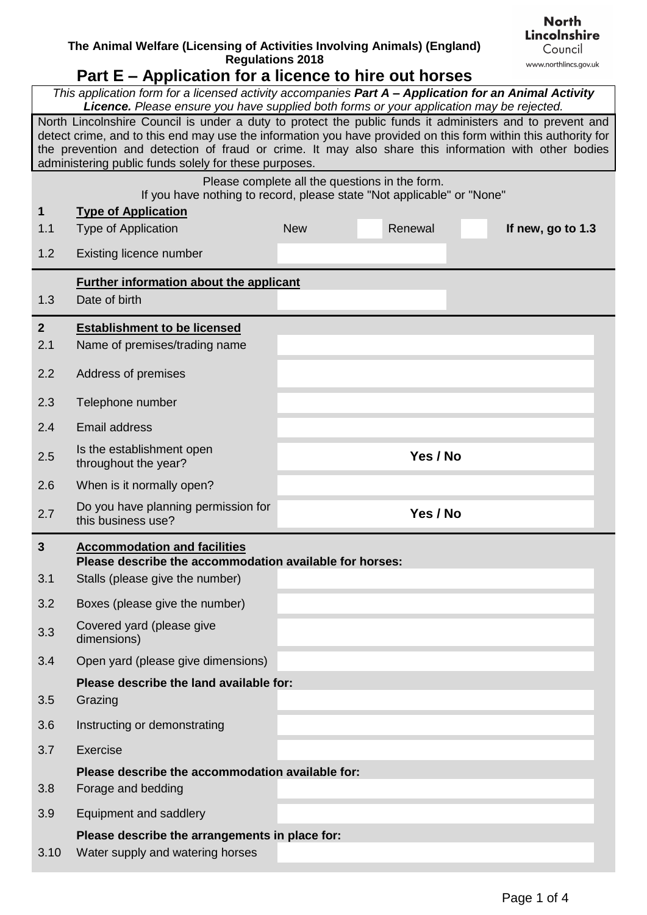## **The Animal Welfare (Licensing of Activities Involving Animals) (England) Regulations 2018**

## **Part E – Application for a licence to hire out horses**

| This application form for a licensed activity accompanies Part A - Application for an Animal Activity<br>Licence. Please ensure you have supplied both forms or your application may be rejected.                                                                                                                                                                                           |                                                                                                      |            |  |          |  |                   |  |  |
|---------------------------------------------------------------------------------------------------------------------------------------------------------------------------------------------------------------------------------------------------------------------------------------------------------------------------------------------------------------------------------------------|------------------------------------------------------------------------------------------------------|------------|--|----------|--|-------------------|--|--|
| North Lincolnshire Council is under a duty to protect the public funds it administers and to prevent and<br>detect crime, and to this end may use the information you have provided on this form within this authority for<br>the prevention and detection of fraud or crime. It may also share this information with other bodies<br>administering public funds solely for these purposes. |                                                                                                      |            |  |          |  |                   |  |  |
|                                                                                                                                                                                                                                                                                                                                                                                             | Please complete all the questions in the form.                                                       |            |  |          |  |                   |  |  |
| $\mathbf 1$                                                                                                                                                                                                                                                                                                                                                                                 | If you have nothing to record, please state "Not applicable" or "None"<br><b>Type of Application</b> |            |  |          |  |                   |  |  |
| 1.1                                                                                                                                                                                                                                                                                                                                                                                         | <b>Type of Application</b>                                                                           | <b>New</b> |  | Renewal  |  | If new, go to 1.3 |  |  |
| 1.2                                                                                                                                                                                                                                                                                                                                                                                         | Existing licence number                                                                              |            |  |          |  |                   |  |  |
|                                                                                                                                                                                                                                                                                                                                                                                             | <b>Further information about the applicant</b>                                                       |            |  |          |  |                   |  |  |
| 1.3                                                                                                                                                                                                                                                                                                                                                                                         | Date of birth                                                                                        |            |  |          |  |                   |  |  |
| 2 <sup>2</sup>                                                                                                                                                                                                                                                                                                                                                                              | <b>Establishment to be licensed</b>                                                                  |            |  |          |  |                   |  |  |
| 2.1                                                                                                                                                                                                                                                                                                                                                                                         | Name of premises/trading name                                                                        |            |  |          |  |                   |  |  |
| 2.2                                                                                                                                                                                                                                                                                                                                                                                         | Address of premises                                                                                  |            |  |          |  |                   |  |  |
| 2.3                                                                                                                                                                                                                                                                                                                                                                                         | Telephone number                                                                                     |            |  |          |  |                   |  |  |
| 2.4                                                                                                                                                                                                                                                                                                                                                                                         | <b>Email address</b>                                                                                 |            |  |          |  |                   |  |  |
| 2.5                                                                                                                                                                                                                                                                                                                                                                                         | Is the establishment open<br>throughout the year?                                                    |            |  | Yes / No |  |                   |  |  |
| 2.6                                                                                                                                                                                                                                                                                                                                                                                         | When is it normally open?                                                                            |            |  |          |  |                   |  |  |
| 2.7                                                                                                                                                                                                                                                                                                                                                                                         | Do you have planning permission for<br>this business use?                                            |            |  | Yes / No |  |                   |  |  |
| $\mathbf{3}$                                                                                                                                                                                                                                                                                                                                                                                | <b>Accommodation and facilities</b>                                                                  |            |  |          |  |                   |  |  |
|                                                                                                                                                                                                                                                                                                                                                                                             | Please describe the accommodation available for horses:                                              |            |  |          |  |                   |  |  |
| 3.1                                                                                                                                                                                                                                                                                                                                                                                         | Stalls (please give the number)                                                                      |            |  |          |  |                   |  |  |
| 3.2                                                                                                                                                                                                                                                                                                                                                                                         | Boxes (please give the number)                                                                       |            |  |          |  |                   |  |  |
| 3.3                                                                                                                                                                                                                                                                                                                                                                                         | Covered yard (please give<br>dimensions)                                                             |            |  |          |  |                   |  |  |
| 3.4                                                                                                                                                                                                                                                                                                                                                                                         | Open yard (please give dimensions)                                                                   |            |  |          |  |                   |  |  |
|                                                                                                                                                                                                                                                                                                                                                                                             | Please describe the land available for:                                                              |            |  |          |  |                   |  |  |
| 3.5                                                                                                                                                                                                                                                                                                                                                                                         | Grazing                                                                                              |            |  |          |  |                   |  |  |
| 3.6                                                                                                                                                                                                                                                                                                                                                                                         | Instructing or demonstrating                                                                         |            |  |          |  |                   |  |  |
| 3.7                                                                                                                                                                                                                                                                                                                                                                                         | Exercise                                                                                             |            |  |          |  |                   |  |  |
| 3.8                                                                                                                                                                                                                                                                                                                                                                                         | Please describe the accommodation available for:<br>Forage and bedding                               |            |  |          |  |                   |  |  |
| 3.9                                                                                                                                                                                                                                                                                                                                                                                         | Equipment and saddlery                                                                               |            |  |          |  |                   |  |  |
|                                                                                                                                                                                                                                                                                                                                                                                             | Please describe the arrangements in place for:                                                       |            |  |          |  |                   |  |  |
| 3.10                                                                                                                                                                                                                                                                                                                                                                                        | Water supply and watering horses                                                                     |            |  |          |  |                   |  |  |

**North Lincolnshire** Council www.northlincs.gov.uk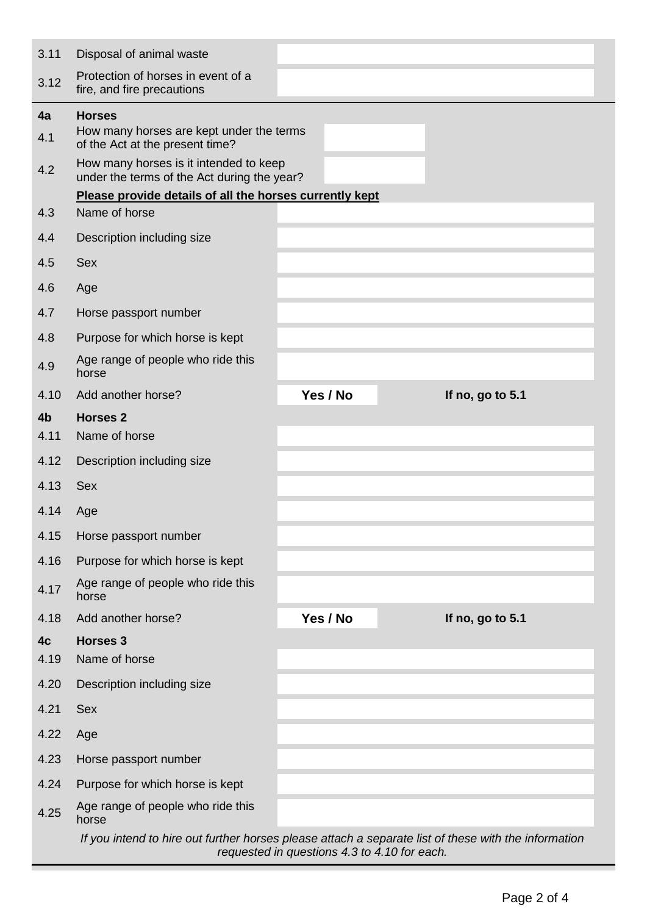| 3.11                   | Disposal of animal waste                                                                                                                             |  |          |  |                  |  |  |
|------------------------|------------------------------------------------------------------------------------------------------------------------------------------------------|--|----------|--|------------------|--|--|
| 3.12                   | Protection of horses in event of a<br>fire, and fire precautions                                                                                     |  |          |  |                  |  |  |
| 4a<br>4.1              | <b>Horses</b><br>How many horses are kept under the terms<br>of the Act at the present time?                                                         |  |          |  |                  |  |  |
| 4.2                    | How many horses is it intended to keep<br>under the terms of the Act during the year?                                                                |  |          |  |                  |  |  |
|                        | Please provide details of all the horses currently kept                                                                                              |  |          |  |                  |  |  |
| 4.3                    | Name of horse                                                                                                                                        |  |          |  |                  |  |  |
| 4.4                    | Description including size                                                                                                                           |  |          |  |                  |  |  |
| 4.5                    | <b>Sex</b>                                                                                                                                           |  |          |  |                  |  |  |
| 4.6                    | Age                                                                                                                                                  |  |          |  |                  |  |  |
| 4.7                    | Horse passport number                                                                                                                                |  |          |  |                  |  |  |
| 4.8                    | Purpose for which horse is kept                                                                                                                      |  |          |  |                  |  |  |
| 4.9                    | Age range of people who ride this<br>horse                                                                                                           |  |          |  |                  |  |  |
| 4.10                   | Add another horse?                                                                                                                                   |  | Yes / No |  | If no, go to 5.1 |  |  |
| 4 <sub>b</sub><br>4.11 | <b>Horses 2</b><br>Name of horse                                                                                                                     |  |          |  |                  |  |  |
| 4.12                   | Description including size                                                                                                                           |  |          |  |                  |  |  |
| 4.13                   | <b>Sex</b>                                                                                                                                           |  |          |  |                  |  |  |
| 4.14                   | Age                                                                                                                                                  |  |          |  |                  |  |  |
| 4.15                   | Horse passport number                                                                                                                                |  |          |  |                  |  |  |
| 4.16                   | Purpose for which horse is kept                                                                                                                      |  |          |  |                  |  |  |
| 4.17                   | Age range of people who ride this<br>horse                                                                                                           |  |          |  |                  |  |  |
| 4.18                   | Add another horse?                                                                                                                                   |  | Yes / No |  | If no, go to 5.1 |  |  |
| 4c                     | <b>Horses 3</b>                                                                                                                                      |  |          |  |                  |  |  |
| 4.19                   | Name of horse                                                                                                                                        |  |          |  |                  |  |  |
| 4.20                   | Description including size                                                                                                                           |  |          |  |                  |  |  |
| 4.21                   | <b>Sex</b>                                                                                                                                           |  |          |  |                  |  |  |
| 4.22                   | Age                                                                                                                                                  |  |          |  |                  |  |  |
| 4.23                   | Horse passport number                                                                                                                                |  |          |  |                  |  |  |
| 4.24                   | Purpose for which horse is kept                                                                                                                      |  |          |  |                  |  |  |
| 4.25                   | Age range of people who ride this<br>horse                                                                                                           |  |          |  |                  |  |  |
|                        | If you intend to hire out further horses please attach a separate list of these with the information<br>requested in questions 4.3 to 4.10 for each. |  |          |  |                  |  |  |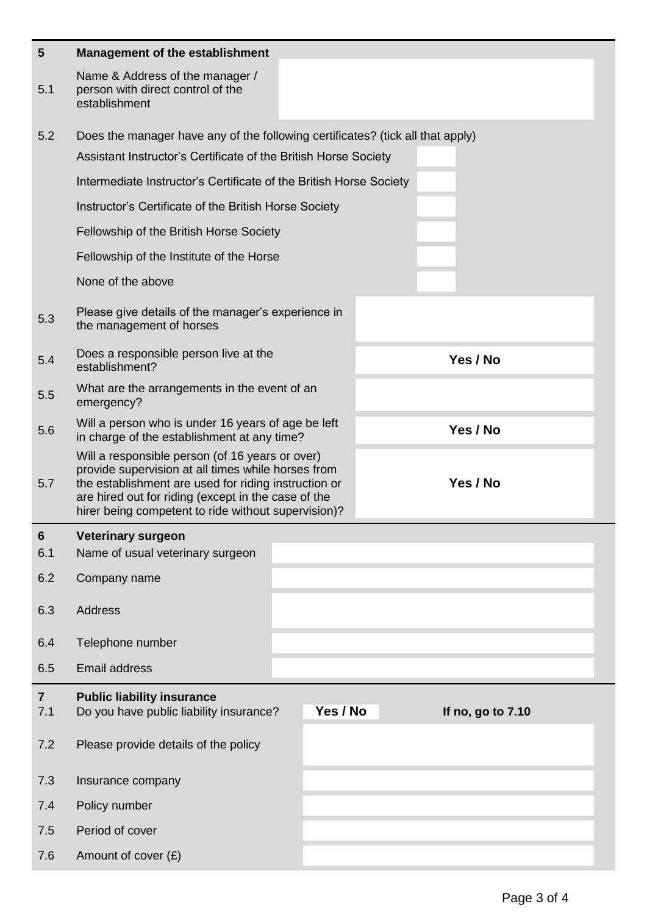| 5                     | <b>Management of the establishment</b>                                                                                                                                                                                                                                      |                                                                 |                   |  |  |  |  |
|-----------------------|-----------------------------------------------------------------------------------------------------------------------------------------------------------------------------------------------------------------------------------------------------------------------------|-----------------------------------------------------------------|-------------------|--|--|--|--|
| 5.1                   | Name & Address of the manager /<br>person with direct control of the<br>establishment                                                                                                                                                                                       |                                                                 |                   |  |  |  |  |
| 5.2                   | Does the manager have any of the following certificates? (tick all that apply)                                                                                                                                                                                              |                                                                 |                   |  |  |  |  |
|                       |                                                                                                                                                                                                                                                                             | Assistant Instructor's Certificate of the British Horse Society |                   |  |  |  |  |
|                       | Intermediate Instructor's Certificate of the British Horse Society                                                                                                                                                                                                          |                                                                 |                   |  |  |  |  |
|                       | Instructor's Certificate of the British Horse Society                                                                                                                                                                                                                       |                                                                 |                   |  |  |  |  |
|                       | Fellowship of the British Horse Society                                                                                                                                                                                                                                     |                                                                 |                   |  |  |  |  |
|                       | Fellowship of the Institute of the Horse                                                                                                                                                                                                                                    |                                                                 |                   |  |  |  |  |
|                       | None of the above                                                                                                                                                                                                                                                           |                                                                 |                   |  |  |  |  |
| 5.3                   | Please give details of the manager's experience in<br>the management of horses                                                                                                                                                                                              |                                                                 |                   |  |  |  |  |
| 5.4                   | Does a responsible person live at the<br>establishment?                                                                                                                                                                                                                     |                                                                 | Yes / No          |  |  |  |  |
| 5.5                   | What are the arrangements in the event of an<br>emergency?                                                                                                                                                                                                                  |                                                                 |                   |  |  |  |  |
| 5.6                   | Will a person who is under 16 years of age be left<br>in charge of the establishment at any time?                                                                                                                                                                           |                                                                 | Yes / No          |  |  |  |  |
| 5.7                   | Will a responsible person (of 16 years or over)<br>provide supervision at all times while horses from<br>the establishment are used for riding instruction or<br>are hired out for riding (except in the case of the<br>hirer being competent to ride without supervision)? |                                                                 | Yes / No          |  |  |  |  |
| 6                     | <b>Veterinary surgeon</b>                                                                                                                                                                                                                                                   |                                                                 |                   |  |  |  |  |
| 6.1                   | Name of usual veterinary surgeon                                                                                                                                                                                                                                            |                                                                 |                   |  |  |  |  |
| 6.2                   | Company name                                                                                                                                                                                                                                                                |                                                                 |                   |  |  |  |  |
| 6.3                   | <b>Address</b>                                                                                                                                                                                                                                                              |                                                                 |                   |  |  |  |  |
| 6.4                   | Telephone number                                                                                                                                                                                                                                                            |                                                                 |                   |  |  |  |  |
| 6.5                   | <b>Email address</b>                                                                                                                                                                                                                                                        |                                                                 |                   |  |  |  |  |
| $\overline{7}$<br>7.1 | <b>Public liability insurance</b><br>Do you have public liability insurance?                                                                                                                                                                                                | Yes / No                                                        | If no, go to 7.10 |  |  |  |  |
| 7.2                   | Please provide details of the policy                                                                                                                                                                                                                                        |                                                                 |                   |  |  |  |  |
|                       |                                                                                                                                                                                                                                                                             |                                                                 |                   |  |  |  |  |
| 7.3                   | Insurance company                                                                                                                                                                                                                                                           |                                                                 |                   |  |  |  |  |
| 7.4                   | Policy number                                                                                                                                                                                                                                                               |                                                                 |                   |  |  |  |  |
| 7.5                   | Period of cover                                                                                                                                                                                                                                                             |                                                                 |                   |  |  |  |  |